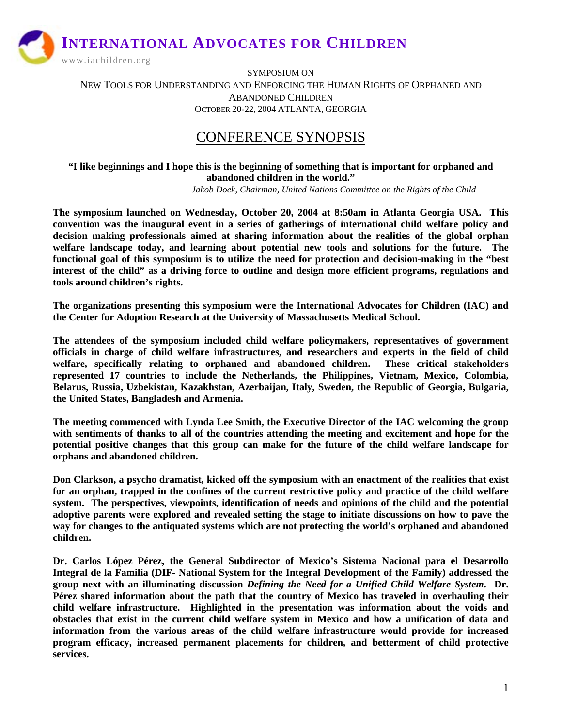www.iachildren.org

SYMPOSIUM ON NEW TOOLS FOR UNDERSTANDING AND ENFORCING THE HUMAN RIGHTS OF ORPHANED AND ABANDONED CHILDREN OCTOBER 20-22, 2004 ATLANTA, GEORGIA

# CONFERENCE SYNOPSIS

**"I like beginnings and I hope this is the beginning of something that is important for orphaned and abandoned children in the world."** 

 **--***Jakob Doek, Chairman, United Nations Committee on the Rights of the Child* 

**The symposium launched on Wednesday, October 20, 2004 at 8:50am in Atlanta Georgia USA. This convention was the inaugural event in a series of gatherings of international child welfare policy and decision making professionals aimed at sharing information about the realities of the global orphan welfare landscape today, and learning about potential new tools and solutions for the future. The functional goal of this symposium is to utilize the need for protection and decision-making in the "best interest of the child" as a driving force to outline and design more efficient programs, regulations and tools around children's rights.** 

**The organizations presenting this symposium were the International Advocates for Children (IAC) and the Center for Adoption Research at the University of Massachusetts Medical School.** 

**The attendees of the symposium included child welfare policymakers, representatives of government officials in charge of child welfare infrastructures, and researchers and experts in the field of child welfare, specifically relating to orphaned and abandoned children. These critical stakeholders represented 17 countries to include the Netherlands, the Philippines, Vietnam, Mexico, Colombia, Belarus, Russia, Uzbekistan, Kazakhstan, Azerbaijan, Italy, Sweden, the Republic of Georgia, Bulgaria, the United States, Bangladesh and Armenia.** 

**The meeting commenced with Lynda Lee Smith, the Executive Director of the IAC welcoming the group with sentiments of thanks to all of the countries attending the meeting and excitement and hope for the potential positive changes that this group can make for the future of the child welfare landscape for orphans and abandoned children.** 

**Don Clarkson, a psycho dramatist, kicked off the symposium with an enactment of the realities that exist for an orphan, trapped in the confines of the current restrictive policy and practice of the child welfare system. The perspectives, viewpoints, identification of needs and opinions of the child and the potential adoptive parents were explored and revealed setting the stage to initiate discussions on how to pave the way for changes to the antiquated systems which are not protecting the world's orphaned and abandoned children.** 

**Dr. Carlos López Pérez, the General Subdirector of Mexico's Sistema Nacional para el Desarrollo Integral de la Familia (DIF- National System for the Integral Development of the Family) addressed the group next with an illuminating discussion** *Defining the Need for a Unified Child Welfare System***. Dr. Pérez shared information about the path that the country of Mexico has traveled in overhauling their child welfare infrastructure. Highlighted in the presentation was information about the voids and obstacles that exist in the current child welfare system in Mexico and how a unification of data and information from the various areas of the child welfare infrastructure would provide for increased program efficacy, increased permanent placements for children, and betterment of child protective services.**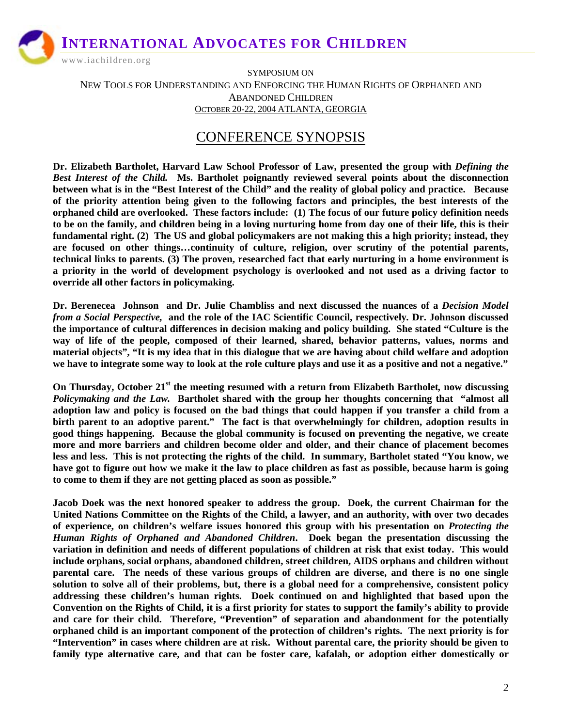www.iachildren.org

SYMPOSIUM ON NEW TOOLS FOR UNDERSTANDING AND ENFORCING THE HUMAN RIGHTS OF ORPHANED AND ABANDONED CHILDREN OCTOBER 20-22, 2004 ATLANTA, GEORGIA

## CONFERENCE SYNOPSIS

**Dr. Elizabeth Bartholet, Harvard Law School Professor of Law, presented the group with** *Defining the Best Interest of the Child.* **Ms. Bartholet poignantly reviewed several points about the disconnection between what is in the "Best Interest of the Child" and the reality of global policy and practice. Because of the priority attention being given to the following factors and principles, the best interests of the orphaned child are overlooked. These factors include: (1) The focus of our future policy definition needs to be on the family, and children being in a loving nurturing home from day one of their life, this is their fundamental right. (2) The US and global policymakers are not making this a high priority; instead, they are focused on other things…continuity of culture, religion, over scrutiny of the potential parents, technical links to parents. (3) The proven, researched fact that early nurturing in a home environment is a priority in the world of development psychology is overlooked and not used as a driving factor to override all other factors in policymaking.** 

**Dr. Berenecea Johnson and Dr. Julie Chambliss and next discussed the nuances of a** *Decision Model from a Social Perspective,* **and the role of the IAC Scientific Council, respectively***.* **Dr. Johnson discussed the importance of cultural differences in decision making and policy building. She stated "Culture is the way of life of the people, composed of their learned, shared, behavior patterns, values, norms and material objects", "It is my idea that in this dialogue that we are having about child welfare and adoption we have to integrate some way to look at the role culture plays and use it as a positive and not a negative."** 

**On Thursday, October 21st the meeting resumed with a return from Elizabeth Bartholet***,* **now discussing**  *Policymaking and the Law.* **Bartholet shared with the group her thoughts concerning that "almost all adoption law and policy is focused on the bad things that could happen if you transfer a child from a birth parent to an adoptive parent." The fact is that overwhelmingly for children, adoption results in good things happening. Because the global community is focused on preventing the negative, we create more and more barriers and children become older and older, and their chance of placement becomes less and less. This is not protecting the rights of the child. In summary, Bartholet stated "You know, we have got to figure out how we make it the law to place children as fast as possible, because harm is going to come to them if they are not getting placed as soon as possible."** 

**Jacob Doek was the next honored speaker to address the group. Doek, the current Chairman for the United Nations Committee on the Rights of the Child, a lawyer, and an authority, with over two decades of experience, on children's welfare issues honored this group with his presentation on** *Protecting the Human Rights of Orphaned and Abandoned Children***. Doek began the presentation discussing the variation in definition and needs of different populations of children at risk that exist today. This would include orphans, social orphans, abandoned children, street children, AIDS orphans and children without parental care. The needs of these various groups of children are diverse, and there is no one single solution to solve all of their problems, but, there is a global need for a comprehensive, consistent policy addressing these children's human rights. Doek continued on and highlighted that based upon the Convention on the Rights of Child, it is a first priority for states to support the family's ability to provide and care for their child. Therefore, "Prevention" of separation and abandonment for the potentially orphaned child is an important component of the protection of children's rights. The next priority is for "Intervention" in cases where children are at risk. Without parental care, the priority should be given to family type alternative care, and that can be foster care, kafalah, or adoption either domestically or**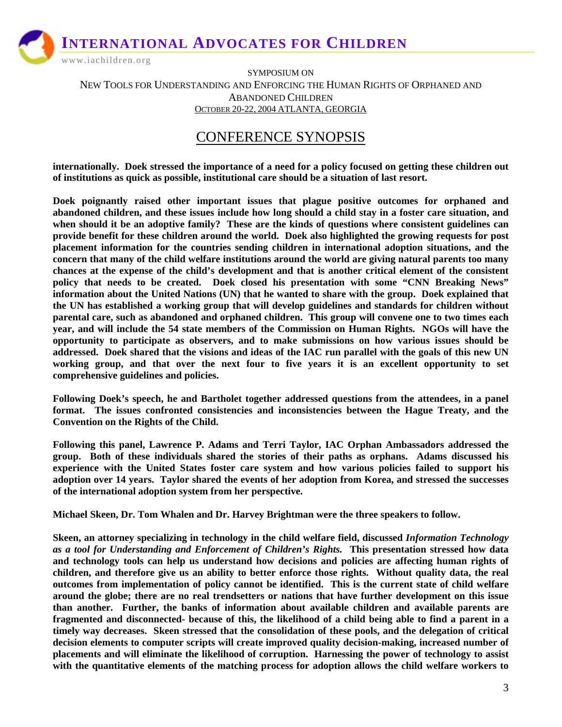www.iachildren.org

SYMPOSIUM ON NEW TOOLS FOR UNDERSTANDING AND ENFORCING THE HUMAN RIGHTS OF ORPHANED AND ABANDONED CHILDREN OCTOBER 20-22, 2004 ATLANTA, GEORGIA

### CONFERENCE SYNOPSIS

**internationally. Doek stressed the importance of a need for a policy focused on getting these children out of institutions as quick as possible, institutional care should be a situation of last resort.** 

**Doek poignantly raised other important issues that plague positive outcomes for orphaned and abandoned children, and these issues include how long should a child stay in a foster care situation, and when should it be an adoptive family? These are the kinds of questions where consistent guidelines can provide benefit for these children around the world. Doek also highlighted the growing requests for post placement information for the countries sending children in international adoption situations, and the concern that many of the child welfare institutions around the world are giving natural parents too many chances at the expense of the child's development and that is another critical element of the consistent policy that needs to be created. Doek closed his presentation with some "CNN Breaking News" information about the United Nations (UN) that he wanted to share with the group. Doek explained that the UN has established a working group that will develop guidelines and standards for children without parental care, such as abandoned and orphaned children. This group will convene one to two times each year, and will include the 54 state members of the Commission on Human Rights. NGOs will have the opportunity to participate as observers, and to make submissions on how various issues should be addressed. Doek shared that the visions and ideas of the IAC run parallel with the goals of this new UN working group, and that over the next four to five years it is an excellent opportunity to set comprehensive guidelines and policies.** 

**Following Doek's speech, he and Bartholet together addressed questions from the attendees, in a panel format. The issues confronted consistencies and inconsistencies between the Hague Treaty, and the Convention on the Rights of the Child.** 

**Following this panel, Lawrence P. Adams and Terri Taylor, IAC Orphan Ambassadors addressed the group. Both of these individuals shared the stories of their paths as orphans. Adams discussed his experience with the United States foster care system and how various policies failed to support his adoption over 14 years. Taylor shared the events of her adoption from Korea, and stressed the successes of the international adoption system from her perspective.** 

**Michael Skeen, Dr. Tom Whalen and Dr. Harvey Brightman were the three speakers to follow.** 

**Skeen, an attorney specializing in technology in the child welfare field, discussed** *Information Technology as a tool for Understanding and Enforcement of Children's Rights.* **This presentation stressed how data and technology tools can help us understand how decisions and policies are affecting human rights of children, and therefore give us an ability to better enforce those rights. Without quality data, the real outcomes from implementation of policy cannot be identified. This is the current state of child welfare around the globe; there are no real trendsetters or nations that have further development on this issue than another. Further, the banks of information about available children and available parents are fragmented and disconnected- because of this, the likelihood of a child being able to find a parent in a timely way decreases. Skeen stressed that the consolidation of these pools, and the delegation of critical decision elements to computer scripts will create improved quality decision-making, increased number of placements and will eliminate the likelihood of corruption. Harnessing the power of technology to assist with the quantitative elements of the matching process for adoption allows the child welfare workers to**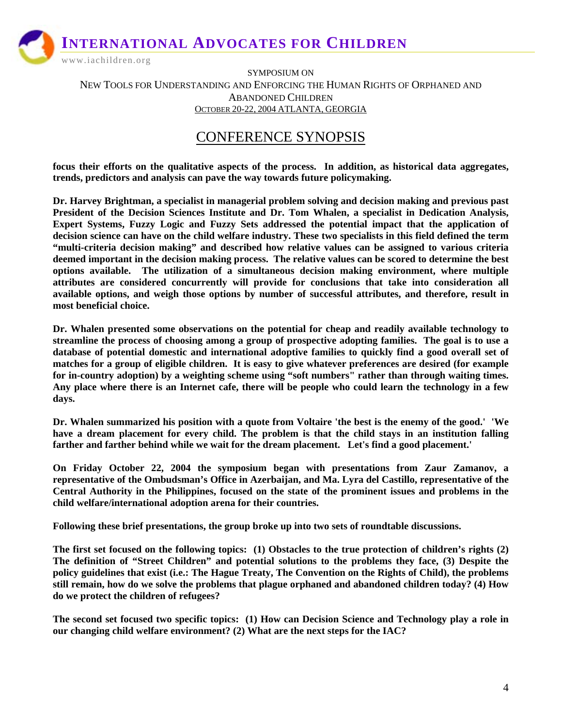www.iachildren.org

SYMPOSIUM ON NEW TOOLS FOR UNDERSTANDING AND ENFORCING THE HUMAN RIGHTS OF ORPHANED AND ABANDONED CHILDREN OCTOBER 20-22, 2004 ATLANTA, GEORGIA

## CONFERENCE SYNOPSIS

**focus their efforts on the qualitative aspects of the process. In addition, as historical data aggregates, trends, predictors and analysis can pave the way towards future policymaking.** 

**Dr. Harvey Brightman, a specialist in managerial problem solving and decision making and previous past President of the Decision Sciences Institute and Dr. Tom Whalen, a specialist in Dedication Analysis, Expert Systems, Fuzzy Logic and Fuzzy Sets addressed the potential impact that the application of decision science can have on the child welfare industry. These two specialists in this field defined the term "multi-criteria decision making" and described how relative values can be assigned to various criteria deemed important in the decision making process. The relative values can be scored to determine the best options available. The utilization of a simultaneous decision making environment, where multiple attributes are considered concurrently will provide for conclusions that take into consideration all available options, and weigh those options by number of successful attributes, and therefore, result in most beneficial choice.** 

**Dr. Whalen presented some observations on the potential for cheap and readily available technology to streamline the process of choosing among a group of prospective adopting families. The goal is to use a database of potential domestic and international adoptive families to quickly find a good overall set of matches for a group of eligible children. It is easy to give whatever preferences are desired (for example for in-country adoption) by a weighting scheme using "soft numbers" rather than through waiting times. Any place where there is an Internet cafe, there will be people who could learn the technology in a few days.** 

**Dr. Whalen summarized his position with a quote from Voltaire 'the best is the enemy of the good.' 'We have a dream placement for every child. The problem is that the child stays in an institution falling farther and farther behind while we wait for the dream placement. Let's find a good placement.'** 

**On Friday October 22, 2004 the symposium began with presentations from Zaur Zamanov, a representative of the Ombudsman's Office in Azerbaijan, and Ma. Lyra del Castillo, representative of the Central Authority in the Philippines, focused on the state of the prominent issues and problems in the child welfare/international adoption arena for their countries.** 

**Following these brief presentations, the group broke up into two sets of roundtable discussions.** 

**The first set focused on the following topics: (1) Obstacles to the true protection of children's rights (2) The definition of "Street Children" and potential solutions to the problems they face, (3) Despite the policy guidelines that exist (i.e.: The Hague Treaty, The Convention on the Rights of Child), the problems still remain, how do we solve the problems that plague orphaned and abandoned children today? (4) How do we protect the children of refugees?** 

**The second set focused two specific topics: (1) How can Decision Science and Technology play a role in our changing child welfare environment? (2) What are the next steps for the IAC?**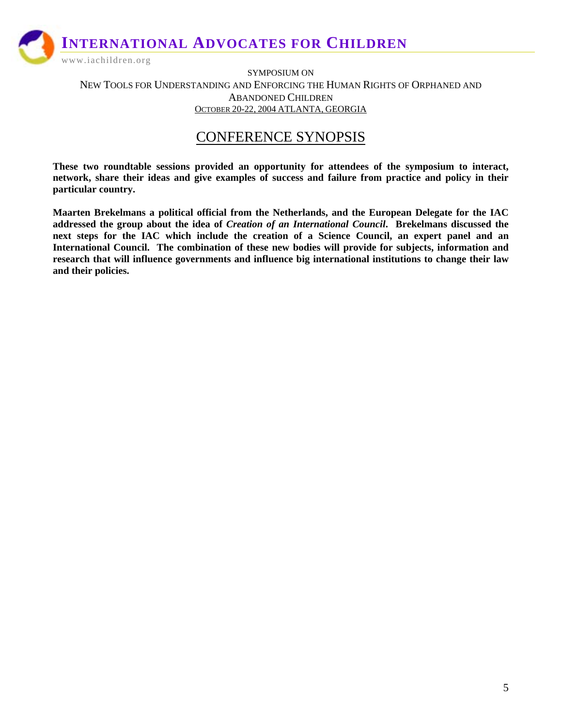www.iachildren.org

SYMPOSIUM ON NEW TOOLS FOR UNDERSTANDING AND ENFORCING THE HUMAN RIGHTS OF ORPHANED AND ABANDONED CHILDREN OCTOBER 20-22, 2004 ATLANTA, GEORGIA

### CONFERENCE SYNOPSIS

**These two roundtable sessions provided an opportunity for attendees of the symposium to interact, network, share their ideas and give examples of success and failure from practice and policy in their particular country.** 

**Maarten Brekelmans a political official from the Netherlands, and the European Delegate for the IAC addressed the group about the idea of** *Creation of an International Council***. Brekelmans discussed the next steps for the IAC which include the creation of a Science Council, an expert panel and an International Council. The combination of these new bodies will provide for subjects, information and research that will influence governments and influence big international institutions to change their law and their policies.**